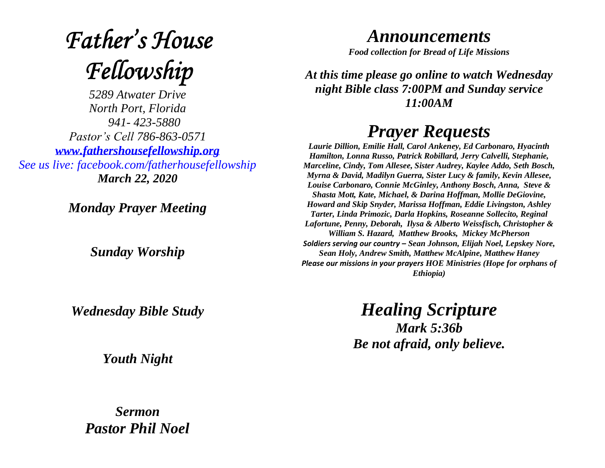## **Father's House** Fellowship

*5289 Atwater Drive North Port, Florida 941- 423-5880 Pastor's Cell 786-863-0571 [www.fathershousefellowship.org](http://www.fathershousefellowship.org/) See us live: facebook.com/fatherhousefellowship March 22, 2020*

*Monday Prayer Meeting*

*Sunday Worship*

*Wednesday Bible Study*

*Youth Night*

*Sermon Pastor Phil Noel*

## *Announcements*

*Food collection for Bread of Life Missions*

*At this time please go online to watch Wednesday night Bible class 7:00PM and Sunday service 11:00AM*

## *Prayer Requests*

*Laurie Dillion, Emilie Hall, Carol Ankeney, Ed Carbonaro, Hyacinth Hamilton, Lonna Russo, Patrick Robillard, Jerry Calvelli, Stephanie, Marceline, Cindy, Tom Allesee, Sister Audrey, Kaylee Addo, Seth Bosch, Myrna & David, Madilyn Guerra, Sister Lucy & family, Kevin Allesee, Louise Carbonaro, Connie McGinley, Anthony Bosch, Anna, Steve & Shasta Mott, Kate, Michael, & Darina Hoffman, Mollie DeGiovine, Howard and Skip Snyder, Marissa Hoffman, Eddie Livingston, Ashley Tarter, Linda Primozic, Darla Hopkins, Roseanne Sollecito, Reginal Lafortune, Penny, Deborah, Ilysa & Alberto Weissfisch, Christopher & William S. Hazard, Matthew Brooks, Mickey McPherson Soldiers serving our country – Sean Johnson, Elijah Noel, Lepskey Nore, Sean Holy, Andrew Smith, Matthew McAlpine, Matthew Haney Please our missions in your prayers HOE Ministries (Hope for orphans of Ethiopia)*

> *Healing Scripture Mark 5:36b Be not afraid, only believe.*